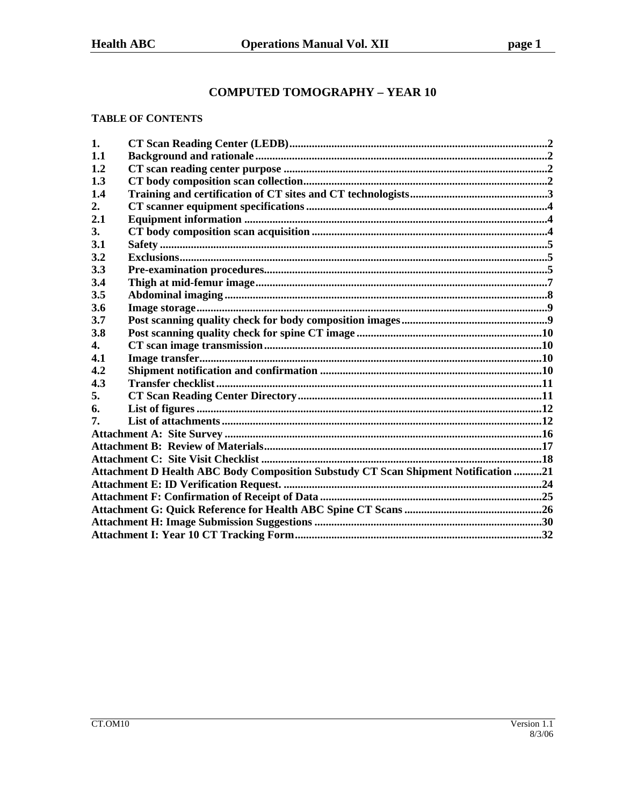# **COMPUTED TOMOGRAPHY - YEAR 10**

#### **TABLE OF CONTENTS**

| 1.  |                                                                                    |  |  |  |  |
|-----|------------------------------------------------------------------------------------|--|--|--|--|
| 1.1 |                                                                                    |  |  |  |  |
| 1.2 |                                                                                    |  |  |  |  |
| 1.3 |                                                                                    |  |  |  |  |
| 1.4 |                                                                                    |  |  |  |  |
| 2.  |                                                                                    |  |  |  |  |
| 2.1 |                                                                                    |  |  |  |  |
| 3.  |                                                                                    |  |  |  |  |
| 3.1 |                                                                                    |  |  |  |  |
| 3.2 |                                                                                    |  |  |  |  |
| 3.3 |                                                                                    |  |  |  |  |
| 3.4 |                                                                                    |  |  |  |  |
| 3.5 |                                                                                    |  |  |  |  |
| 3.6 |                                                                                    |  |  |  |  |
| 3.7 |                                                                                    |  |  |  |  |
| 3.8 |                                                                                    |  |  |  |  |
| 4.  |                                                                                    |  |  |  |  |
| 4.1 |                                                                                    |  |  |  |  |
| 4.2 |                                                                                    |  |  |  |  |
| 4.3 |                                                                                    |  |  |  |  |
| 5.  |                                                                                    |  |  |  |  |
| 6.  |                                                                                    |  |  |  |  |
| 7.  |                                                                                    |  |  |  |  |
|     |                                                                                    |  |  |  |  |
|     |                                                                                    |  |  |  |  |
|     |                                                                                    |  |  |  |  |
|     | Attachment D Health ABC Body Composition Substudy CT Scan Shipment Notification 21 |  |  |  |  |
|     |                                                                                    |  |  |  |  |
|     |                                                                                    |  |  |  |  |
|     |                                                                                    |  |  |  |  |
|     |                                                                                    |  |  |  |  |
|     |                                                                                    |  |  |  |  |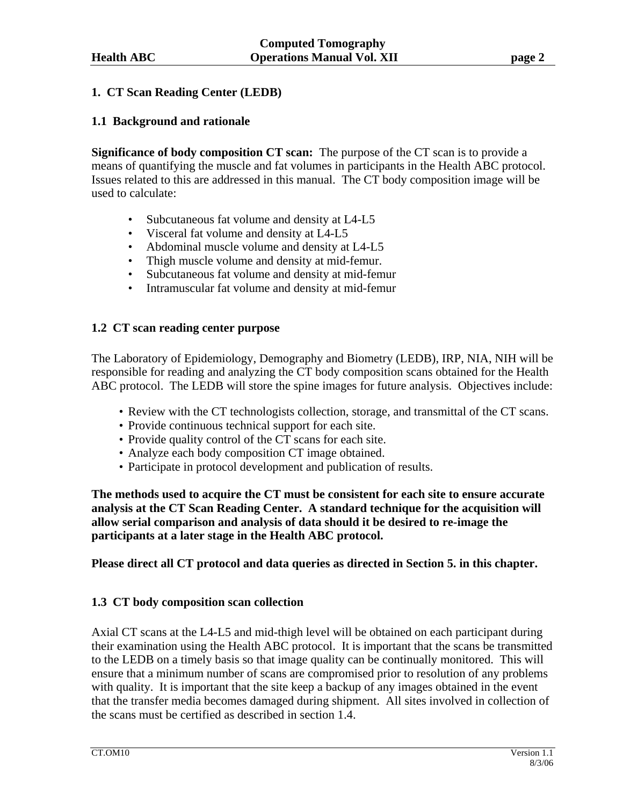## **1. CT Scan Reading Center (LEDB)**

## **1.1 Background and rationale**

**Significance of body composition CT scan:** The purpose of the CT scan is to provide a means of quantifying the muscle and fat volumes in participants in the Health ABC protocol. Issues related to this are addressed in this manual. The CT body composition image will be used to calculate:

- Subcutaneous fat volume and density at L4-L5
- Visceral fat volume and density at L4-L5
- Abdominal muscle volume and density at L4-L5
- Thigh muscle volume and density at mid-femur.
- Subcutaneous fat volume and density at mid-femur
- Intramuscular fat volume and density at mid-femur

## **1.2 CT scan reading center purpose**

The Laboratory of Epidemiology, Demography and Biometry (LEDB), IRP, NIA, NIH will be responsible for reading and analyzing the CT body composition scans obtained for the Health ABC protocol. The LEDB will store the spine images for future analysis. Objectives include:

- Review with the CT technologists collection, storage, and transmittal of the CT scans.
- Provide continuous technical support for each site.
- Provide quality control of the CT scans for each site.
- Analyze each body composition CT image obtained.
- Participate in protocol development and publication of results.

**The methods used to acquire the CT must be consistent for each site to ensure accurate analysis at the CT Scan Reading Center. A standard technique for the acquisition will allow serial comparison and analysis of data should it be desired to re-image the participants at a later stage in the Health ABC protocol.** 

**Please direct all CT protocol and data queries as directed in Section 5. in this chapter.** 

## **1.3 CT body composition scan collection**

Axial CT scans at the L4-L5 and mid-thigh level will be obtained on each participant during their examination using the Health ABC protocol. It is important that the scans be transmitted to the LEDB on a timely basis so that image quality can be continually monitored. This will ensure that a minimum number of scans are compromised prior to resolution of any problems with quality. It is important that the site keep a backup of any images obtained in the event that the transfer media becomes damaged during shipment. All sites involved in collection of the scans must be certified as described in section 1.4.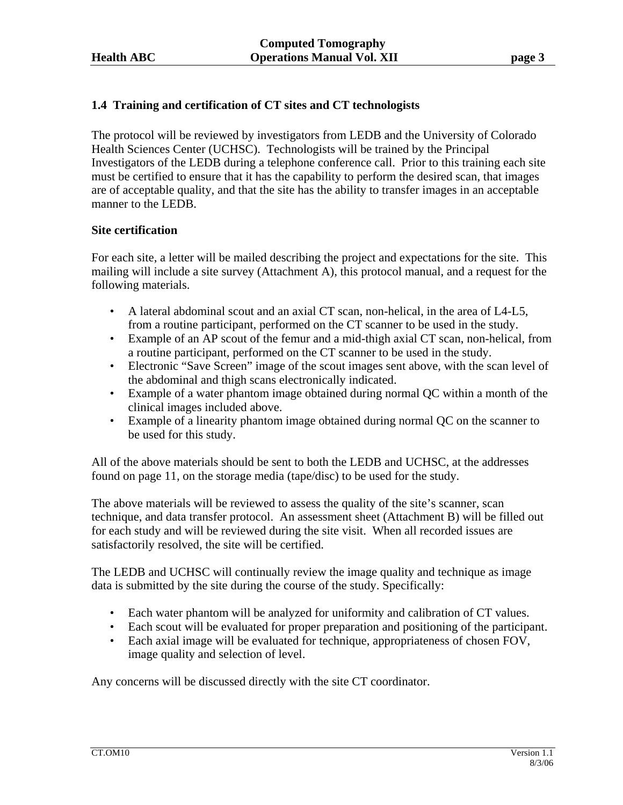# **1.4 Training and certification of CT sites and CT technologists**

The protocol will be reviewed by investigators from LEDB and the University of Colorado Health Sciences Center (UCHSC). Technologists will be trained by the Principal Investigators of the LEDB during a telephone conference call. Prior to this training each site must be certified to ensure that it has the capability to perform the desired scan, that images are of acceptable quality, and that the site has the ability to transfer images in an acceptable manner to the LEDB.

#### **Site certification**

For each site, a letter will be mailed describing the project and expectations for the site. This mailing will include a site survey (Attachment A), this protocol manual, and a request for the following materials.

- A lateral abdominal scout and an axial CT scan, non-helical, in the area of L4-L5, from a routine participant, performed on the CT scanner to be used in the study.
- Example of an AP scout of the femur and a mid-thigh axial CT scan, non-helical, from a routine participant, performed on the CT scanner to be used in the study.
- Electronic "Save Screen" image of the scout images sent above, with the scan level of the abdominal and thigh scans electronically indicated.
- Example of a water phantom image obtained during normal QC within a month of the clinical images included above.
- Example of a linearity phantom image obtained during normal QC on the scanner to be used for this study.

All of the above materials should be sent to both the LEDB and UCHSC, at the addresses found on page 11, on the storage media (tape/disc) to be used for the study.

The above materials will be reviewed to assess the quality of the site's scanner, scan technique, and data transfer protocol. An assessment sheet (Attachment B) will be filled out for each study and will be reviewed during the site visit. When all recorded issues are satisfactorily resolved, the site will be certified.

The LEDB and UCHSC will continually review the image quality and technique as image data is submitted by the site during the course of the study. Specifically:

- Each water phantom will be analyzed for uniformity and calibration of CT values.
- Each scout will be evaluated for proper preparation and positioning of the participant.
- Each axial image will be evaluated for technique, appropriateness of chosen FOV, image quality and selection of level.

Any concerns will be discussed directly with the site CT coordinator.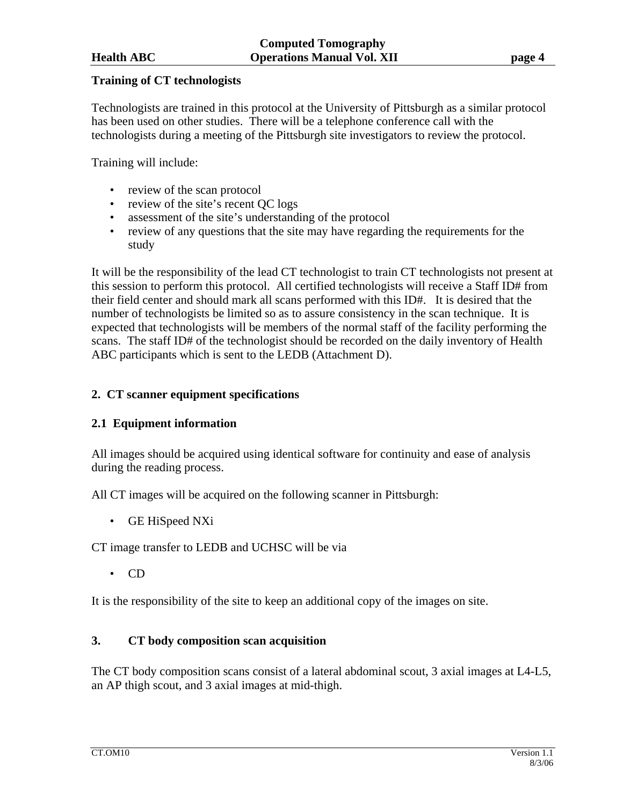## **Training of CT technologists**

Technologists are trained in this protocol at the University of Pittsburgh as a similar protocol has been used on other studies. There will be a telephone conference call with the technologists during a meeting of the Pittsburgh site investigators to review the protocol.

Training will include:

- review of the scan protocol
- review of the site's recent OC logs
- assessment of the site's understanding of the protocol
- review of any questions that the site may have regarding the requirements for the study

It will be the responsibility of the lead CT technologist to train CT technologists not present at this session to perform this protocol. All certified technologists will receive a Staff ID# from their field center and should mark all scans performed with this ID#. It is desired that the number of technologists be limited so as to assure consistency in the scan technique. It is expected that technologists will be members of the normal staff of the facility performing the scans. The staff ID# of the technologist should be recorded on the daily inventory of Health ABC participants which is sent to the LEDB (Attachment D).

# **2. CT scanner equipment specifications**

## **2.1 Equipment information**

All images should be acquired using identical software for continuity and ease of analysis during the reading process.

All CT images will be acquired on the following scanner in Pittsburgh:

• GE HiSpeed NXi

CT image transfer to LEDB and UCHSC will be via

• CD

It is the responsibility of the site to keep an additional copy of the images on site.

# **3. CT body composition scan acquisition**

The CT body composition scans consist of a lateral abdominal scout, 3 axial images at L4-L5, an AP thigh scout, and 3 axial images at mid-thigh.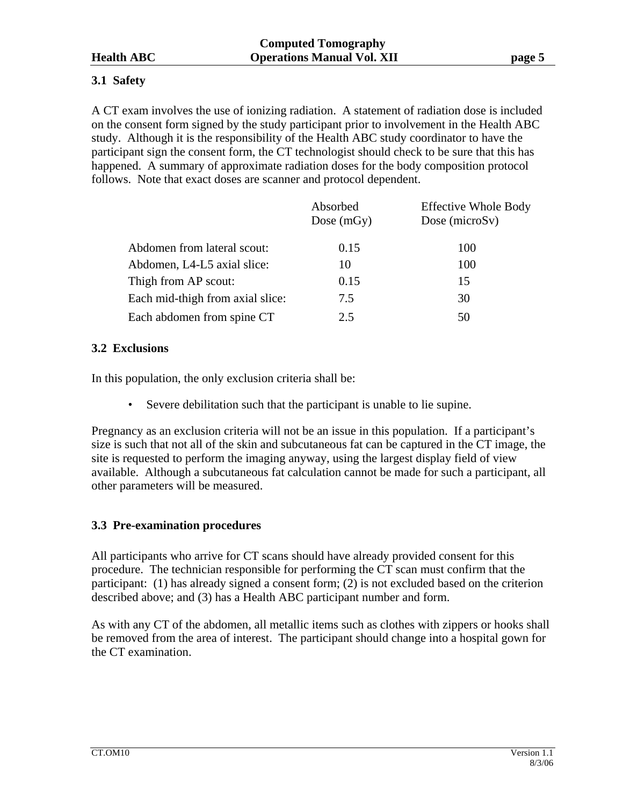# **3.1 Safety**

A CT exam involves the use of ionizing radiation. A statement of radiation dose is included on the consent form signed by the study participant prior to involvement in the Health ABC study. Although it is the responsibility of the Health ABC study coordinator to have the participant sign the consent form, the CT technologist should check to be sure that this has happened. A summary of approximate radiation doses for the body composition protocol follows. Note that exact doses are scanner and protocol dependent.

|                                  | Absorbed<br>Dose $(mGy)$ | <b>Effective Whole Body</b><br>Dose ( $microSv$ ) |
|----------------------------------|--------------------------|---------------------------------------------------|
| Abdomen from lateral scout:      | 0.15                     | 100                                               |
| Abdomen, L4-L5 axial slice:      | 10                       | 100                                               |
| Thigh from AP scout:             | 0.15                     | 15                                                |
| Each mid-thigh from axial slice: | 7.5                      | 30                                                |
| Each abdomen from spine CT       | 2.5                      | 50                                                |

# **3.2 Exclusions**

In this population, the only exclusion criteria shall be:

• Severe debilitation such that the participant is unable to lie supine.

Pregnancy as an exclusion criteria will not be an issue in this population. If a participant's size is such that not all of the skin and subcutaneous fat can be captured in the CT image, the site is requested to perform the imaging anyway, using the largest display field of view available. Although a subcutaneous fat calculation cannot be made for such a participant, all other parameters will be measured.

# **3.3 Pre-examination procedures**

All participants who arrive for CT scans should have already provided consent for this procedure. The technician responsible for performing the CT scan must confirm that the participant: (1) has already signed a consent form; (2) is not excluded based on the criterion described above; and (3) has a Health ABC participant number and form.

As with any CT of the abdomen, all metallic items such as clothes with zippers or hooks shall be removed from the area of interest. The participant should change into a hospital gown for the CT examination.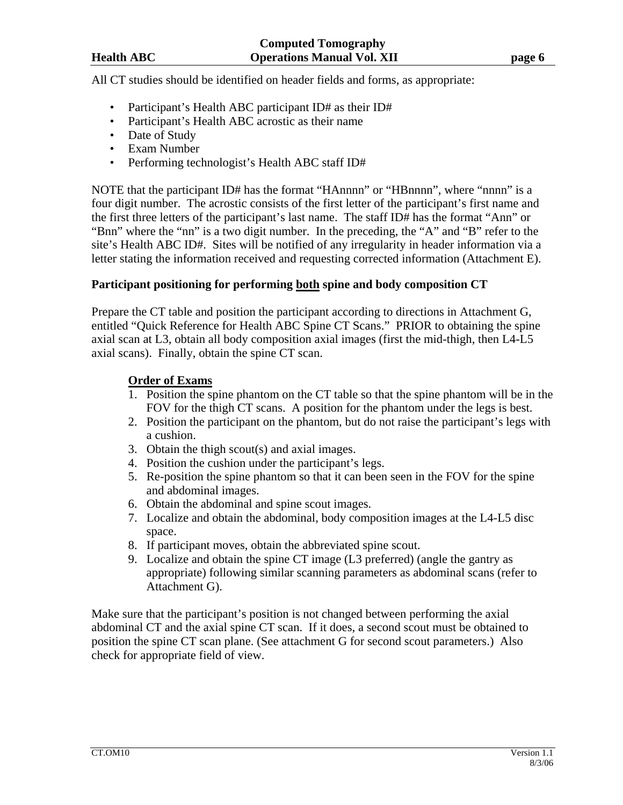All CT studies should be identified on header fields and forms, as appropriate:

- Participant's Health ABC participant ID# as their ID#
- Participant's Health ABC acrostic as their name
- Date of Study
- Exam Number
- Performing technologist's Health ABC staff ID#

NOTE that the participant ID# has the format "HAnnnn" or "HBnnnn", where "nnnn" is a four digit number. The acrostic consists of the first letter of the participant's first name and the first three letters of the participant's last name. The staff ID# has the format "Ann" or "Bnn" where the "nn" is a two digit number. In the preceding, the "A" and "B" refer to the site's Health ABC ID#. Sites will be notified of any irregularity in header information via a letter stating the information received and requesting corrected information (Attachment E).

## **Participant positioning for performing both spine and body composition CT**

Prepare the CT table and position the participant according to directions in Attachment G, entitled "Quick Reference for Health ABC Spine CT Scans." PRIOR to obtaining the spine axial scan at L3, obtain all body composition axial images (first the mid-thigh, then L4-L5 axial scans). Finally, obtain the spine CT scan.

## **Order of Exams**

- 1. Position the spine phantom on the CT table so that the spine phantom will be in the FOV for the thigh CT scans. A position for the phantom under the legs is best.
- 2. Position the participant on the phantom, but do not raise the participant's legs with a cushion.
- 3. Obtain the thigh scout(s) and axial images.
- 4. Position the cushion under the participant's legs.
- 5. Re-position the spine phantom so that it can been seen in the FOV for the spine and abdominal images.
- 6. Obtain the abdominal and spine scout images.
- 7. Localize and obtain the abdominal, body composition images at the L4-L5 disc space.
- 8. If participant moves, obtain the abbreviated spine scout.
- 9. Localize and obtain the spine CT image (L3 preferred) (angle the gantry as appropriate) following similar scanning parameters as abdominal scans (refer to Attachment G).

Make sure that the participant's position is not changed between performing the axial abdominal CT and the axial spine CT scan. If it does, a second scout must be obtained to position the spine CT scan plane. (See attachment G for second scout parameters.) Also check for appropriate field of view.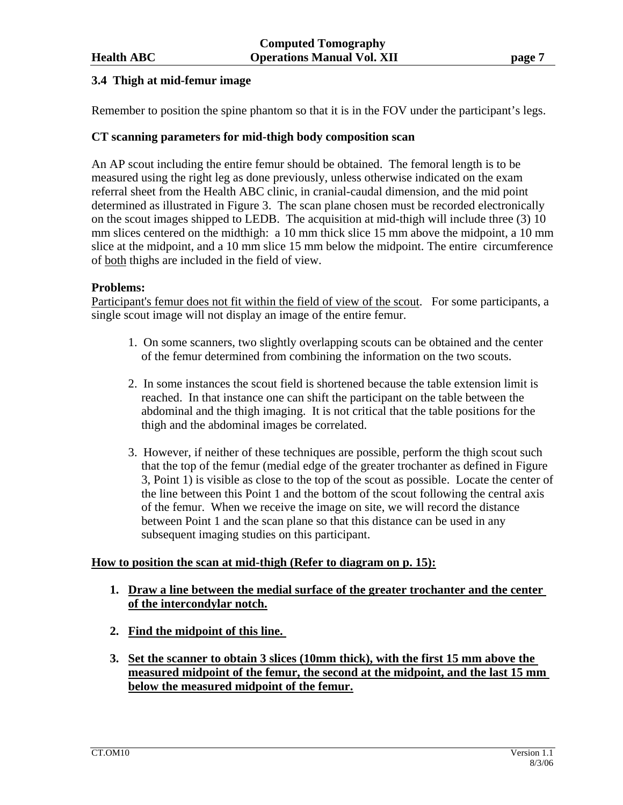# **3.4 Thigh at mid-femur image**

Remember to position the spine phantom so that it is in the FOV under the participant's legs.

# **CT scanning parameters for mid-thigh body composition scan**

An AP scout including the entire femur should be obtained. The femoral length is to be measured using the right leg as done previously, unless otherwise indicated on the exam referral sheet from the Health ABC clinic, in cranial-caudal dimension, and the mid point determined as illustrated in Figure 3. The scan plane chosen must be recorded electronically on the scout images shipped to LEDB. The acquisition at mid-thigh will include three (3) 10 mm slices centered on the midthigh: a 10 mm thick slice 15 mm above the midpoint, a 10 mm slice at the midpoint, and a 10 mm slice 15 mm below the midpoint. The entire circumference of both thighs are included in the field of view.

## **Problems:**

Participant's femur does not fit within the field of view of the scout. For some participants, a single scout image will not display an image of the entire femur.

- 1. On some scanners, two slightly overlapping scouts can be obtained and the center of the femur determined from combining the information on the two scouts.
- 2. In some instances the scout field is shortened because the table extension limit is reached. In that instance one can shift the participant on the table between the abdominal and the thigh imaging. It is not critical that the table positions for the thigh and the abdominal images be correlated.
- 3. However, if neither of these techniques are possible, perform the thigh scout such that the top of the femur (medial edge of the greater trochanter as defined in Figure 3, Point 1) is visible as close to the top of the scout as possible. Locate the center of the line between this Point 1 and the bottom of the scout following the central axis of the femur. When we receive the image on site, we will record the distance between Point 1 and the scan plane so that this distance can be used in any subsequent imaging studies on this participant.

## **How to position the scan at mid-thigh (Refer to diagram on p. 15):**

- **1. Draw a line between the medial surface of the greater trochanter and the center of the intercondylar notch.**
- **2. Find the midpoint of this line.**
- **3. Set the scanner to obtain 3 slices (10mm thick), with the first 15 mm above the measured midpoint of the femur, the second at the midpoint, and the last 15 mm below the measured midpoint of the femur.**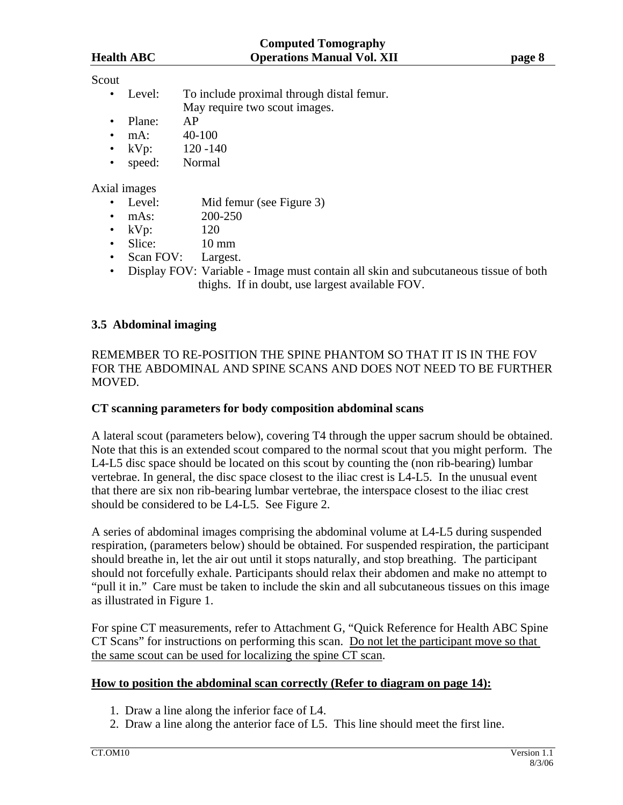# Scout

- Level: To include proximal through distal femur. May require two scout images.
- Plane: AP
- $mA: 40-100$
- $kVp$ : 120 -140
- speed: Normal

#### Axial images

- Level: Mid femur (see Figure 3)
- mAs: 200-250
- $kVp$ : 120
- Slice: 10 mm
- Scan FOV: Largest.
- Display FOV: Variable Image must contain all skin and subcutaneous tissue of both thighs. If in doubt, use largest available FOV.

## **3.5 Abdominal imaging**

REMEMBER TO RE-POSITION THE SPINE PHANTOM SO THAT IT IS IN THE FOV FOR THE ABDOMINAL AND SPINE SCANS AND DOES NOT NEED TO BE FURTHER MOVED.

#### **CT scanning parameters for body composition abdominal scans**

A lateral scout (parameters below), covering T4 through the upper sacrum should be obtained. Note that this is an extended scout compared to the normal scout that you might perform. The L4-L5 disc space should be located on this scout by counting the (non rib-bearing) lumbar vertebrae. In general, the disc space closest to the iliac crest is L4-L5. In the unusual event that there are six non rib-bearing lumbar vertebrae, the interspace closest to the iliac crest should be considered to be L4-L5. See Figure 2.

A series of abdominal images comprising the abdominal volume at L4-L5 during suspended respiration, (parameters below) should be obtained. For suspended respiration, the participant should breathe in, let the air out until it stops naturally, and stop breathing. The participant should not forcefully exhale. Participants should relax their abdomen and make no attempt to "pull it in." Care must be taken to include the skin and all subcutaneous tissues on this image as illustrated in Figure 1.

For spine CT measurements, refer to Attachment G, "Quick Reference for Health ABC Spine CT Scans" for instructions on performing this scan. Do not let the participant move so that the same scout can be used for localizing the spine CT scan.

## **How to position the abdominal scan correctly (Refer to diagram on page 14):**

- 1. Draw a line along the inferior face of L4.
- 2. Draw a line along the anterior face of L5. This line should meet the first line.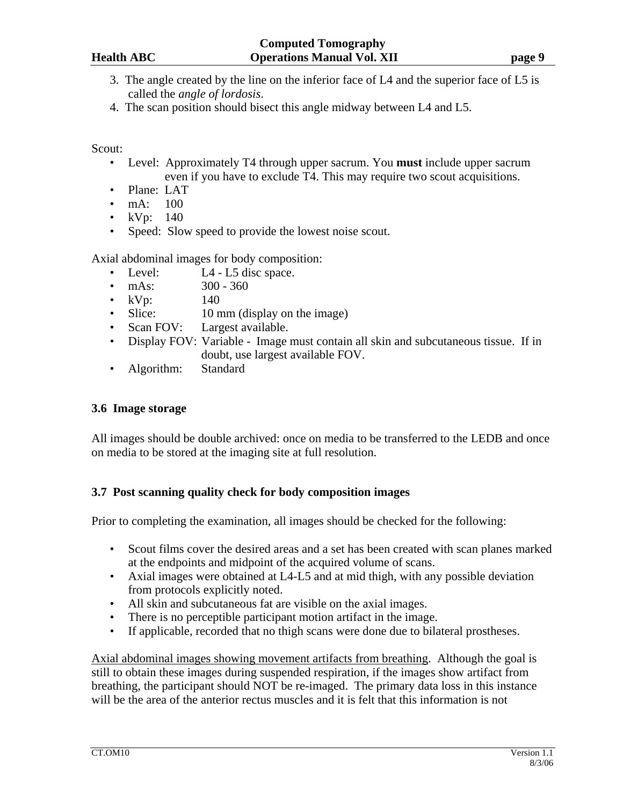- 3. The angle created by the line on the inferior face of L4 and the superior face of L5 is called the *angle of lordosis*.
- 4. The scan position should bisect this angle midway between L4 and L5.

Scout:

- Level: Approximately T4 through upper sacrum. You **must** include upper sacrum even if you have to exclude T4. This may require two scout acquisitions.
- Plane: LAT
- mA: 100
- $kVp: 140$
- Speed: Slow speed to provide the lowest noise scout.

Axial abdominal images for body composition:

- Level: L4 L5 disc space.
- $\text{mAs:}$  300 360
- $kVp$ : 140
- Slice: 10 mm (display on the image)
- Scan FOV: Largest available.
- Display FOV: Variable Image must contain all skin and subcutaneous tissue. If in doubt, use largest available FOV.
- Algorithm: Standard

# **3.6 Image storage**

All images should be double archived: once on media to be transferred to the LEDB and once on media to be stored at the imaging site at full resolution.

# **3.7 Post scanning quality check for body composition images**

Prior to completing the examination, all images should be checked for the following:

- Scout films cover the desired areas and a set has been created with scan planes marked at the endpoints and midpoint of the acquired volume of scans.
- Axial images were obtained at L4-L5 and at mid thigh, with any possible deviation from protocols explicitly noted.
- All skin and subcutaneous fat are visible on the axial images.
- There is no perceptible participant motion artifact in the image.
- If applicable, recorded that no thigh scans were done due to bilateral prostheses.

Axial abdominal images showing movement artifacts from breathing. Although the goal is still to obtain these images during suspended respiration, if the images show artifact from breathing, the participant should NOT be re-imaged. The primary data loss in this instance will be the area of the anterior rectus muscles and it is felt that this information is not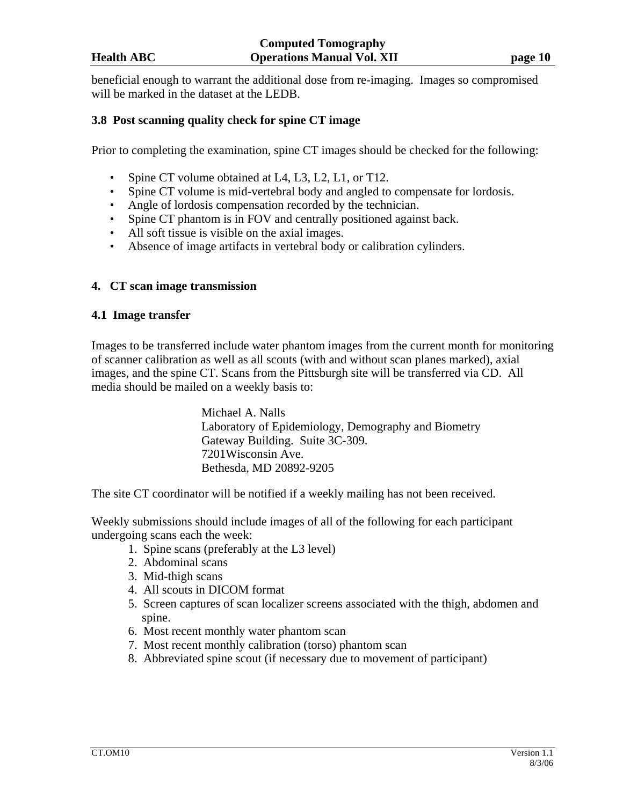beneficial enough to warrant the additional dose from re-imaging. Images so compromised will be marked in the dataset at the LEDB.

#### **3.8 Post scanning quality check for spine CT image**

Prior to completing the examination, spine CT images should be checked for the following:

- Spine CT volume obtained at L4, L3, L2, L1, or T12.
- Spine CT volume is mid-vertebral body and angled to compensate for lordosis.
- Angle of lordosis compensation recorded by the technician.
- Spine CT phantom is in FOV and centrally positioned against back.
- All soft tissue is visible on the axial images.
- Absence of image artifacts in vertebral body or calibration cylinders.

#### **4. CT scan image transmission**

#### **4.1 Image transfer**

Images to be transferred include water phantom images from the current month for monitoring of scanner calibration as well as all scouts (with and without scan planes marked), axial images, and the spine CT. Scans from the Pittsburgh site will be transferred via CD. All media should be mailed on a weekly basis to:

> Michael A. Nalls Laboratory of Epidemiology, Demography and Biometry Gateway Building. Suite 3C-309. 7201Wisconsin Ave. Bethesda, MD 20892-9205

The site CT coordinator will be notified if a weekly mailing has not been received.

Weekly submissions should include images of all of the following for each participant undergoing scans each the week:

- 1. Spine scans (preferably at the L3 level)
- 2. Abdominal scans
- 3. Mid-thigh scans
- 4. All scouts in DICOM format
- 5. Screen captures of scan localizer screens associated with the thigh, abdomen and spine.
- 6. Most recent monthly water phantom scan
- 7. Most recent monthly calibration (torso) phantom scan
- 8. Abbreviated spine scout (if necessary due to movement of participant)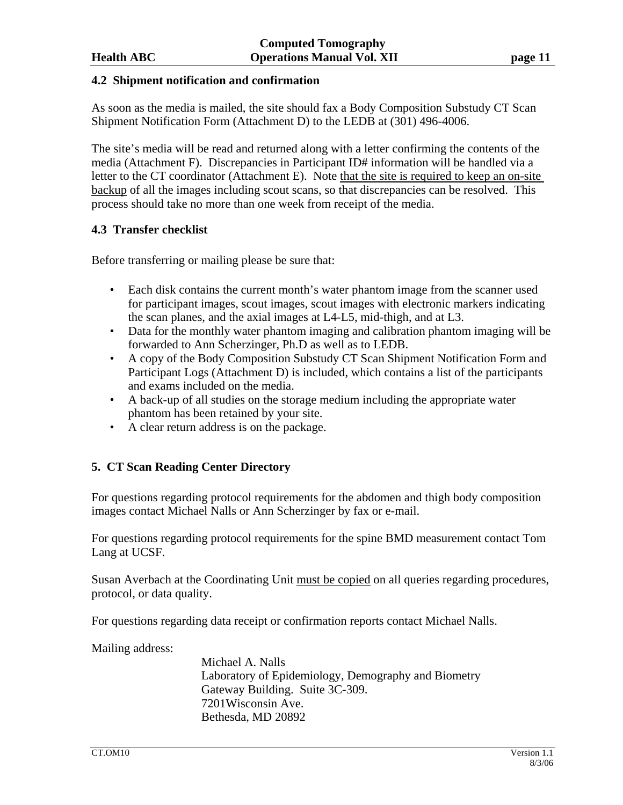#### **4.2 Shipment notification and confirmation**

As soon as the media is mailed, the site should fax a Body Composition Substudy CT Scan Shipment Notification Form (Attachment D) to the LEDB at (301) 496-4006.

The site's media will be read and returned along with a letter confirming the contents of the media (Attachment F). Discrepancies in Participant ID# information will be handled via a letter to the CT coordinator (Attachment E). Note that the site is required to keep an on-site backup of all the images including scout scans, so that discrepancies can be resolved. This process should take no more than one week from receipt of the media.

# **4.3 Transfer checklist**

Before transferring or mailing please be sure that:

- Each disk contains the current month's water phantom image from the scanner used for participant images, scout images, scout images with electronic markers indicating the scan planes, and the axial images at L4-L5, mid-thigh, and at L3.
- Data for the monthly water phantom imaging and calibration phantom imaging will be forwarded to Ann Scherzinger, Ph.D as well as to LEDB.
- A copy of the Body Composition Substudy CT Scan Shipment Notification Form and Participant Logs (Attachment D) is included, which contains a list of the participants and exams included on the media.
- A back-up of all studies on the storage medium including the appropriate water phantom has been retained by your site.
- A clear return address is on the package.

# **5. CT Scan Reading Center Directory**

For questions regarding protocol requirements for the abdomen and thigh body composition images contact Michael Nalls or Ann Scherzinger by fax or e-mail.

For questions regarding protocol requirements for the spine BMD measurement contact Tom Lang at UCSF.

Susan Averbach at the Coordinating Unit must be copied on all queries regarding procedures, protocol, or data quality.

For questions regarding data receipt or confirmation reports contact Michael Nalls.

Mailing address:

 Michael A. Nalls Laboratory of Epidemiology, Demography and Biometry Gateway Building. Suite 3C-309. 7201Wisconsin Ave. Bethesda, MD 20892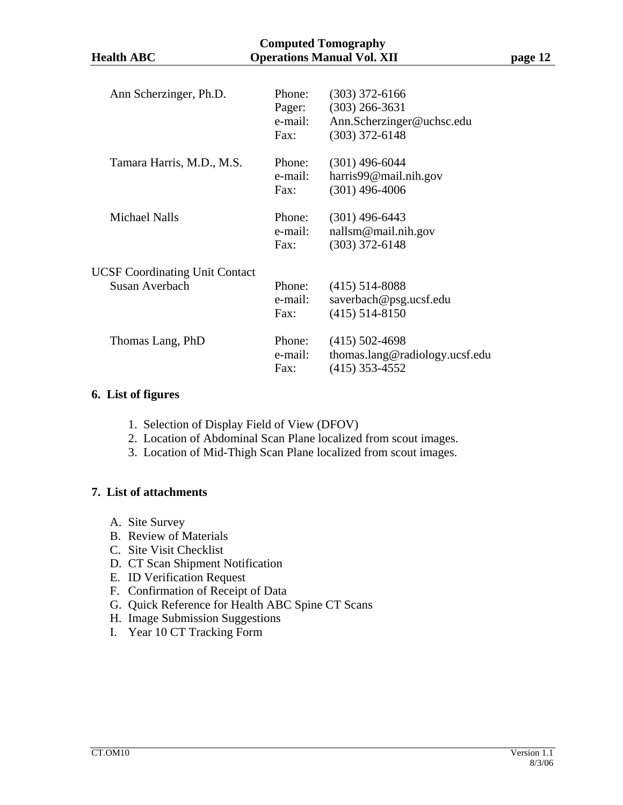| <b>Computed Tomography</b><br><b>Operations Manual Vol. XII</b> |                                     |                                                                                       |         |  |  |
|-----------------------------------------------------------------|-------------------------------------|---------------------------------------------------------------------------------------|---------|--|--|
| <b>Health ABC</b>                                               |                                     |                                                                                       | page 12 |  |  |
| Ann Scherzinger, Ph.D.                                          | Phone:<br>Pager:<br>e-mail:<br>Fax: | $(303)$ 372-6166<br>$(303)$ 266-3631<br>Ann.Scherzinger@uchsc.edu<br>$(303)$ 372-6148 |         |  |  |
| Tamara Harris, M.D., M.S.                                       | Phone:<br>e-mail:<br>Fax:           | $(301)$ 496-6044<br>harris $99@$ mail.nih.gov<br>$(301)$ 496-4006                     |         |  |  |
| <b>Michael Nalls</b>                                            | Phone:<br>e-mail:<br>Fax:           | $(301)$ 496-6443<br>nallsm@mail.nih.gov<br>$(303)$ 372-6148                           |         |  |  |
| <b>UCSF Coordinating Unit Contact</b><br><b>Susan Averbach</b>  | Phone:<br>e-mail:<br>Fax:           | $(415)$ 514-8088<br>saverbach@psg.ucsf.edu<br>$(415)$ 514-8150                        |         |  |  |

e-mail: thomas.lang@radiology.ucsf.edu

Fax: (415) 353-4552

# **6. List of figures**

1. Selection of Display Field of View (DFOV)

Thomas Lang, PhD Phone: (415) 502-4698

- 2. Location of Abdominal Scan Plane localized from scout images.
- 3. Location of Mid-Thigh Scan Plane localized from scout images.

# **7. List of attachments**

- A. Site Survey
- B. Review of Materials
- C. Site Visit Checklist
- D. CT Scan Shipment Notification
- E. ID Verification Request
- F. Confirmation of Receipt of Data
- G. Quick Reference for Health ABC Spine CT Scans
- H. Image Submission Suggestions
- I. Year 10 CT Tracking Form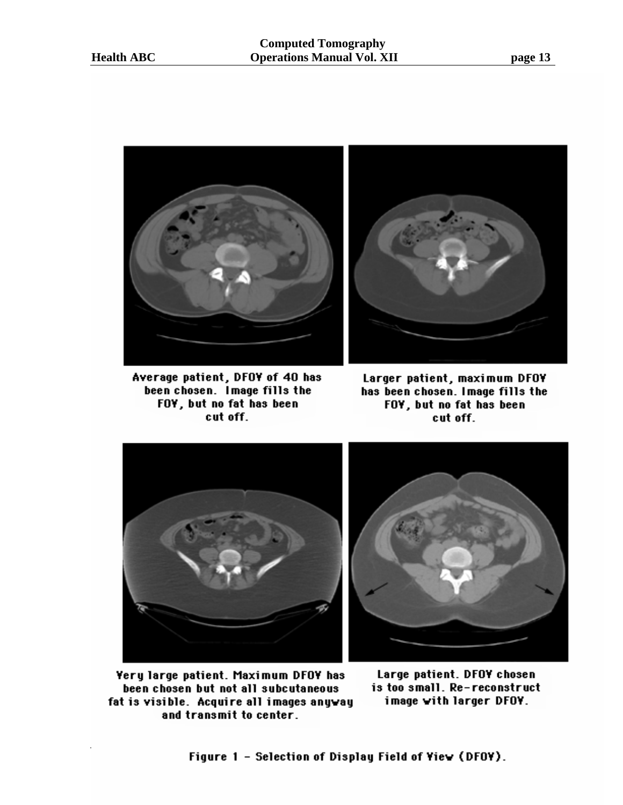

Average patient, DFOY of 40 has been chosen. Image fills the FOY, but no fat has been cut off.



Larger patient, maximum DFOY has been chosen. Image fills the FOY, but no fat has been cut off.



Yery large patient. Maximum DFOY has been chosen but not all subcutaneous fat is visible. Acquire all images anyway and transmit to center.

Large patient. DFOY chosen is too small. Re-reconstruct image with larger DFOY.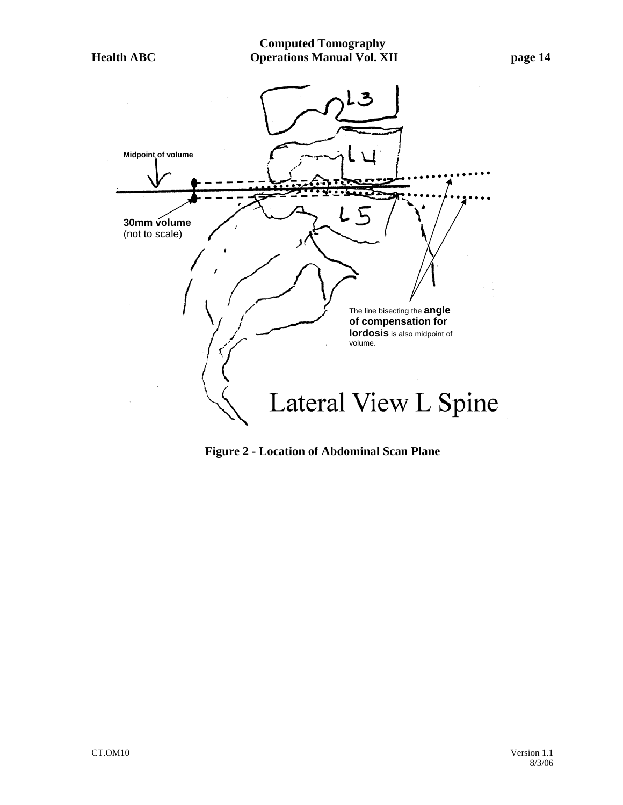**Midpoint of volume** 





**Figure 2 - Location of Abdominal Scan Plane**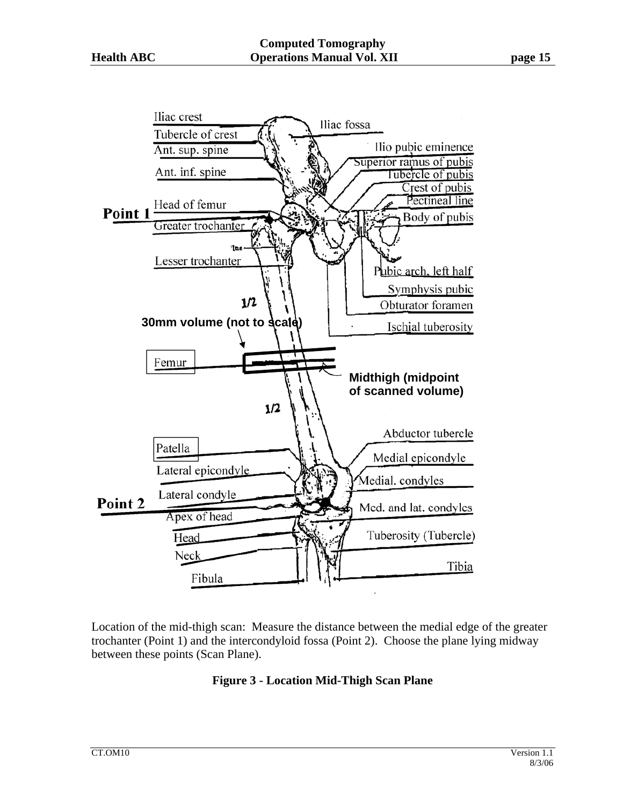

Location of the mid-thigh scan: Measure the distance between the medial edge of the greater trochanter (Point 1) and the intercondyloid fossa (Point 2). Choose the plane lying midway between these points (Scan Plane).

# **Figure 3 - Location Mid-Thigh Scan Plane**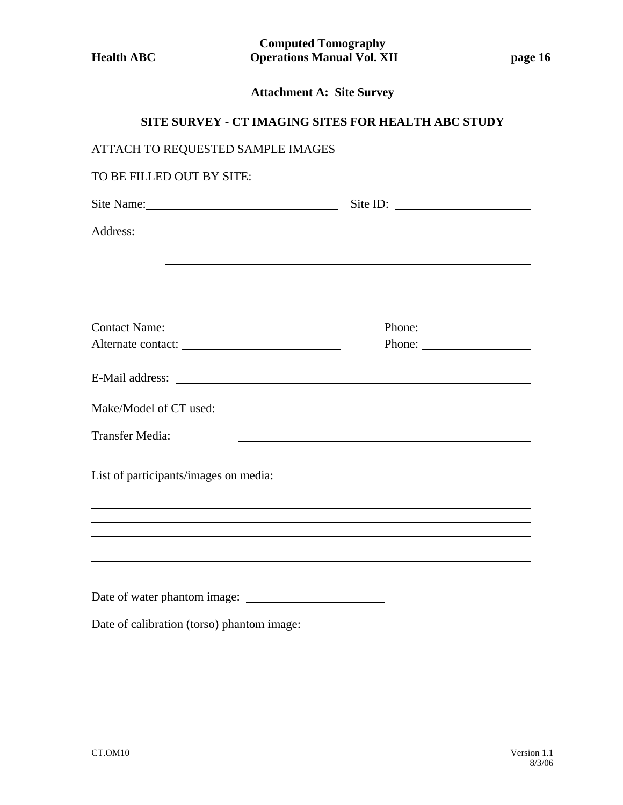# **Attachment A: Site Survey**

# **SITE SURVEY - CT IMAGING SITES FOR HEALTH ABC STUDY**

| ATTACH TO REQUESTED SAMPLE IMAGES                                                |                                                             |  |  |  |
|----------------------------------------------------------------------------------|-------------------------------------------------------------|--|--|--|
| TO BE FILLED OUT BY SITE:                                                        |                                                             |  |  |  |
|                                                                                  |                                                             |  |  |  |
| Address:                                                                         | <u> 1989 - Johann Stoff, amerikansk politiker (d. 1989)</u> |  |  |  |
|                                                                                  |                                                             |  |  |  |
|                                                                                  |                                                             |  |  |  |
|                                                                                  |                                                             |  |  |  |
|                                                                                  |                                                             |  |  |  |
|                                                                                  |                                                             |  |  |  |
|                                                                                  |                                                             |  |  |  |
|                                                                                  |                                                             |  |  |  |
| <b>Transfer Media:</b>                                                           | <u> 1989 - Johann Barbara, martxa alemaniar arg</u>         |  |  |  |
| List of participants/images on media:                                            |                                                             |  |  |  |
| ,我们也不会有什么。""我们的人,我们也不会有什么?""我们的人,我们也不会有什么?""我们的人,我们也不会有什么?""我们的人,我们也不会有什么?""我们的人 |                                                             |  |  |  |
|                                                                                  |                                                             |  |  |  |
|                                                                                  |                                                             |  |  |  |
| ,我们也不会有什么。""我们的人,我们也不会有什么?""我们的人,我们也不会有什么?""我们的人,我们也不会有什么?""我们的人,我们也不会有什么?""我们的人 |                                                             |  |  |  |
| ,我们也不会有什么。""我们的人,我们也不会有什么?""我们的人,我们也不会有什么?""我们的人,我们也不会有什么?""我们的人,我们也不会有什么?""我们的人 |                                                             |  |  |  |
|                                                                                  |                                                             |  |  |  |
|                                                                                  |                                                             |  |  |  |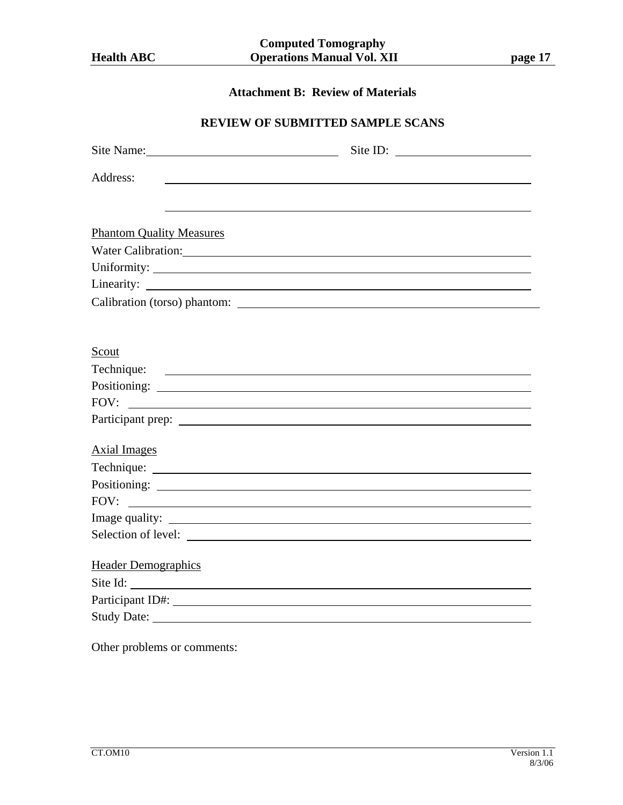# **Attachment B: Review of Materials**

# **REVIEW OF SUBMITTED SAMPLE SCANS**

| Site Name:                                                                                                                         | Site ID: |
|------------------------------------------------------------------------------------------------------------------------------------|----------|
| Address:                                                                                                                           |          |
|                                                                                                                                    |          |
|                                                                                                                                    |          |
| <b>Phantom Quality Measures</b>                                                                                                    |          |
|                                                                                                                                    |          |
|                                                                                                                                    |          |
| Linearity:<br><u> Alexandria de la contrada de la contrada de la contrada de la contrada de la contrada de la contrada de la c</u> |          |
|                                                                                                                                    |          |
|                                                                                                                                    |          |
|                                                                                                                                    |          |
| Scout                                                                                                                              |          |
|                                                                                                                                    |          |
|                                                                                                                                    |          |
|                                                                                                                                    |          |
|                                                                                                                                    |          |
|                                                                                                                                    |          |
| <b>Axial Images</b>                                                                                                                |          |
|                                                                                                                                    |          |
|                                                                                                                                    |          |
| FOV:<br><u> 1989 - Johann Barnett, fransk politiker (d. 1989)</u>                                                                  |          |
|                                                                                                                                    |          |
|                                                                                                                                    |          |
| <b>Header Demographics</b>                                                                                                         |          |
| Site Id:                                                                                                                           |          |
| Participant ID#: Note and South Participant ID#:                                                                                   |          |
| <b>Study Date:</b>                                                                                                                 |          |

Other problems or comments: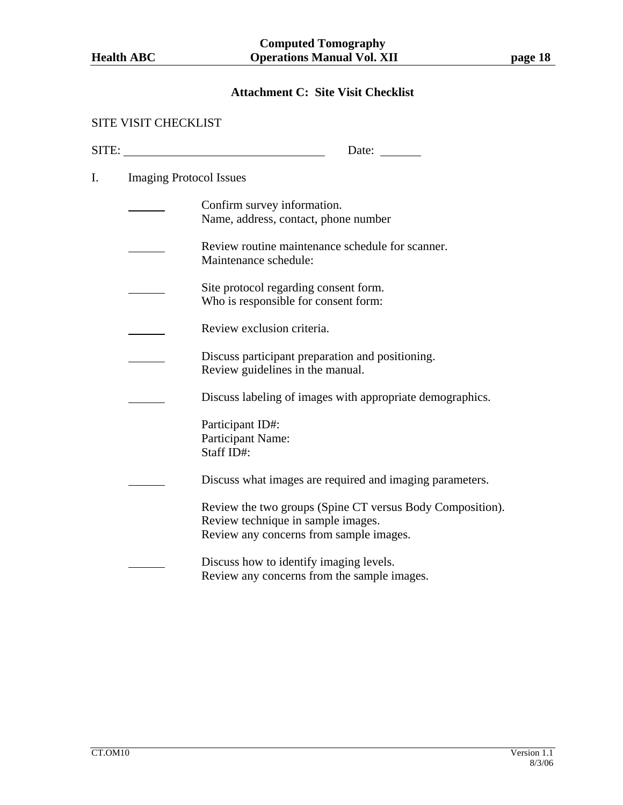# **Attachment C: Site Visit Checklist**

#### SITE VISIT CHECKLIST

| SITE: |                                | Date:                                                                                                                                      |
|-------|--------------------------------|--------------------------------------------------------------------------------------------------------------------------------------------|
| I.    | <b>Imaging Protocol Issues</b> |                                                                                                                                            |
|       |                                | Confirm survey information.<br>Name, address, contact, phone number                                                                        |
|       |                                | Review routine maintenance schedule for scanner.<br>Maintenance schedule:                                                                  |
|       |                                | Site protocol regarding consent form.<br>Who is responsible for consent form:                                                              |
|       |                                | Review exclusion criteria.                                                                                                                 |
|       |                                | Discuss participant preparation and positioning.<br>Review guidelines in the manual.                                                       |
|       |                                | Discuss labeling of images with appropriate demographics.                                                                                  |
|       |                                | Participant ID#:<br>Participant Name:<br>Staff ID#:                                                                                        |
|       |                                | Discuss what images are required and imaging parameters.                                                                                   |
|       |                                | Review the two groups (Spine CT versus Body Composition).<br>Review technique in sample images.<br>Review any concerns from sample images. |
|       |                                | Discuss how to identify imaging levels.<br>Review any concerns from the sample images.                                                     |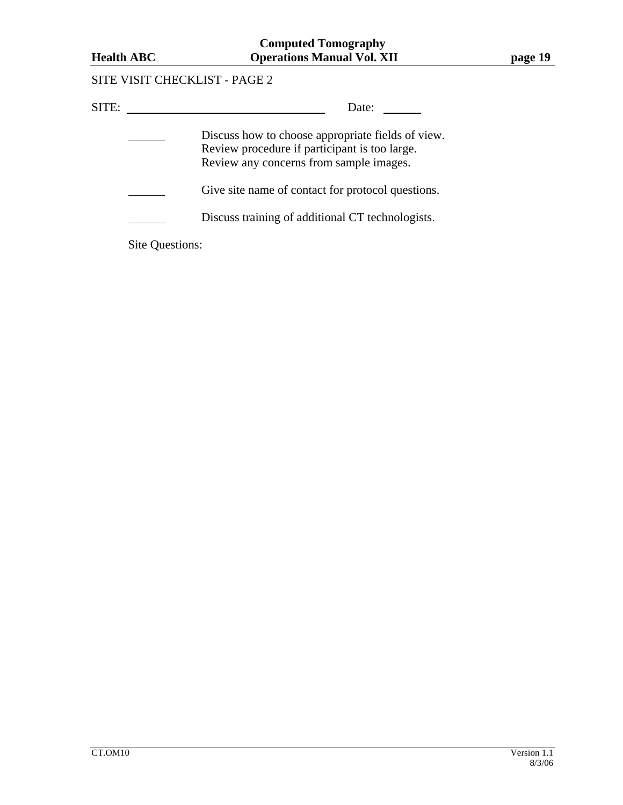# SITE VISIT CHECKLIST - PAGE 2

| SITE:           | Date:                                                                                                                                         |
|-----------------|-----------------------------------------------------------------------------------------------------------------------------------------------|
|                 | Discuss how to choose appropriate fields of view.<br>Review procedure if participant is too large.<br>Review any concerns from sample images. |
|                 | Give site name of contact for protocol questions.                                                                                             |
|                 | Discuss training of additional CT technologists.                                                                                              |
| Site Questions: |                                                                                                                                               |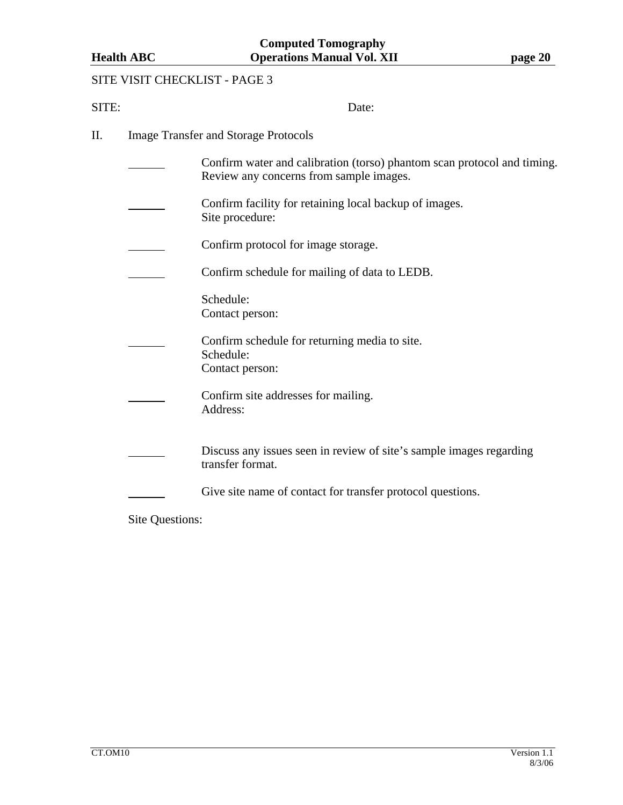# SITE VISIT CHECKLIST - PAGE 3

| SITE: |                 | Date:                                                                                                              |
|-------|-----------------|--------------------------------------------------------------------------------------------------------------------|
| П.    |                 | <b>Image Transfer and Storage Protocols</b>                                                                        |
|       |                 | Confirm water and calibration (torso) phantom scan protocol and timing.<br>Review any concerns from sample images. |
|       |                 | Confirm facility for retaining local backup of images.<br>Site procedure:                                          |
|       |                 | Confirm protocol for image storage.                                                                                |
|       |                 | Confirm schedule for mailing of data to LEDB.                                                                      |
|       |                 | Schedule:<br>Contact person:                                                                                       |
|       |                 | Confirm schedule for returning media to site.<br>Schedule:<br>Contact person:                                      |
|       |                 | Confirm site addresses for mailing.<br>Address:                                                                    |
|       |                 | Discuss any issues seen in review of site's sample images regarding<br>transfer format.                            |
|       |                 | Give site name of contact for transfer protocol questions.                                                         |
|       | Site Questions: |                                                                                                                    |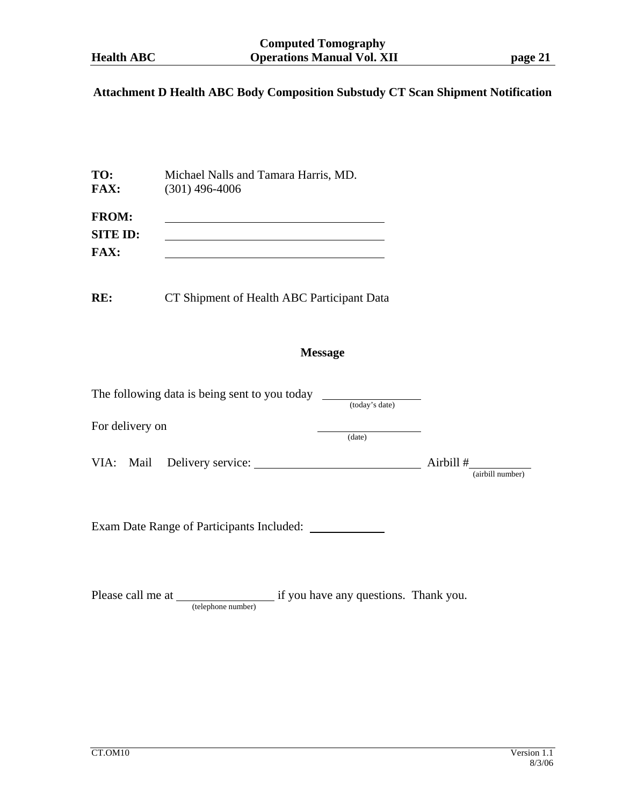# **Attachment D Health ABC Body Composition Substudy CT Scan Shipment Notification**

÷.

| TO:                      | Michael Nalls and Tamara Harris, MD. |
|--------------------------|--------------------------------------|
| <b>FAX:</b>              | $(301)$ 496-4006                     |
| <b>FROM:</b><br>SITE ID: |                                      |

**FAX:** 

**RE:** CT Shipment of Health ABC Participant Data

# **Message**

| The following data is being sent to you today | (today's date) |                               |
|-----------------------------------------------|----------------|-------------------------------|
| For delivery on                               | (date)         |                               |
| VIA: Mail Delivery service:                   |                | Airbill #<br>(airbill number) |
| Exam Date Range of Participants Included:     |                |                               |

Please call me at <u>itelephone number</u> if you have any questions. Thank you.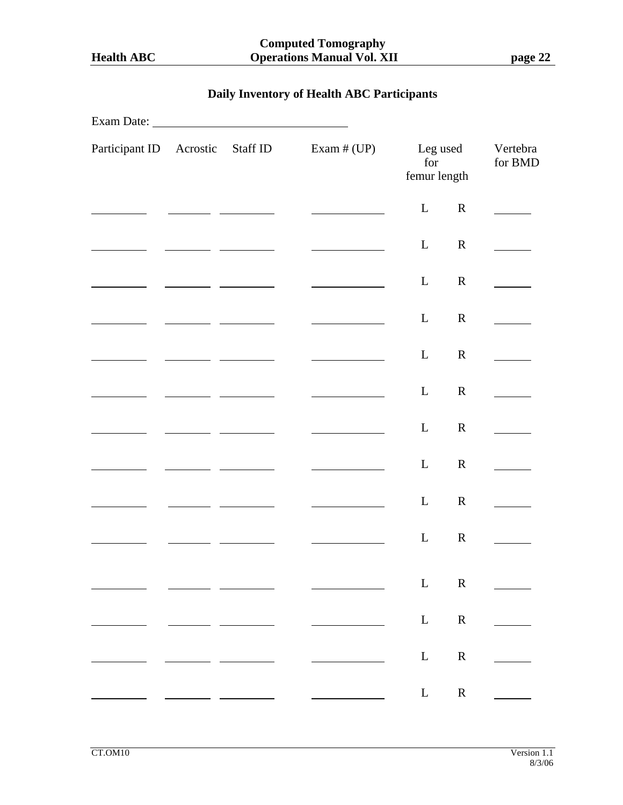# **Daily Inventory of Health ABC Participants**

| Exam Date:              |        |          |               |                                 |             |                                   |
|-------------------------|--------|----------|---------------|---------------------------------|-------------|-----------------------------------|
| Participant ID Acrostic |        | Staff ID | Exam $# (UP)$ | Leg used<br>for<br>femur length |             | Vertebra<br>for BMD               |
|                         |        |          |               | $\mathbf{L}$                    | $\mathbf R$ |                                   |
|                         |        |          |               | $\mathbf{L}$                    | $\mathbf R$ |                                   |
|                         |        |          |               | $\mathbf{L}$                    | $\mathbf R$ |                                   |
|                         |        |          |               | $\mathbf{L}$                    | $\mathbf R$ |                                   |
|                         |        |          |               | $\mathbf{L}$                    | $\mathbf R$ |                                   |
|                         |        |          |               | $\mathbf{L}$                    | $\mathbf R$ |                                   |
|                         |        |          |               | $\mathbf{L}$                    | $\mathbf R$ |                                   |
|                         |        |          |               | $\mathbf{L}$                    | $\mathbf R$ |                                   |
|                         |        |          |               | $\mathbf{L}$                    | $\mathbf R$ |                                   |
|                         |        |          |               | $\mathbf{L}$                    | $\mathbf R$ |                                   |
|                         |        |          |               |                                 | L R         | $\frac{1}{2}$ , and $\frac{1}{2}$ |
|                         | $\sim$ |          |               |                                 |             | $L$ R $\qquad$                    |
|                         |        |          |               |                                 | L R         | $\mathcal{L}$                     |
|                         |        |          |               |                                 | L R         |                                   |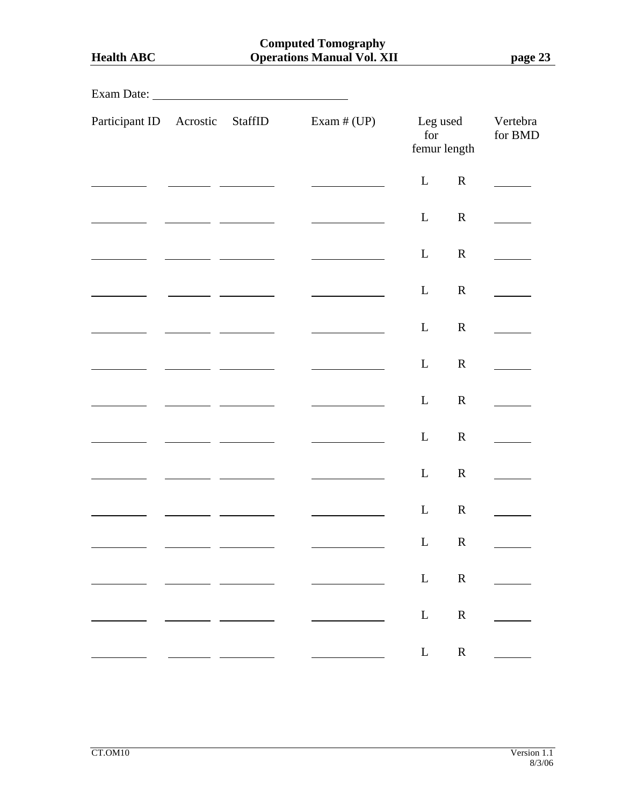| <b>Health ABC</b>       |                                               | <b>Computed Tomography</b><br><b>Operations Manual Vol. XII</b> |                 |                         |                     |
|-------------------------|-----------------------------------------------|-----------------------------------------------------------------|-----------------|-------------------------|---------------------|
|                         |                                               |                                                                 |                 |                         |                     |
| Participant ID Acrostic | StaffID                                       | Exam $# (UP)$                                                   | Leg used<br>for | femur length            | Vertebra<br>for BMD |
|                         |                                               |                                                                 | L               | $\mathbf R$             |                     |
|                         | <u> 1980 - John Barnett, fransk politiker</u> |                                                                 | L               | $\mathbf R$             |                     |
|                         |                                               |                                                                 | L               | $\mathbf R$             |                     |
|                         |                                               |                                                                 | L               | $\mathbf R$             |                     |
|                         |                                               |                                                                 | L               | $\mathbf R$             |                     |
|                         |                                               |                                                                 | L               | $\mathbf R$             |                     |
|                         |                                               |                                                                 | L               | $\mathbf R$             |                     |
|                         |                                               |                                                                 | L               | $\mathbf R$             |                     |
|                         |                                               |                                                                 | L               | $\mathbf R$             |                     |
|                         |                                               |                                                                 | $\mathbf{L}$    | $\mathbf R$             |                     |
|                         |                                               |                                                                 | $\mathbf{L}$    | $\overline{\mathbf{R}}$ |                     |
|                         |                                               |                                                                 | $\mathbf{L}$    | $\mathbf R$             |                     |
|                         |                                               |                                                                 | $\mathbf{L}$    | $\mathbf R$             |                     |
|                         |                                               |                                                                 | $\mathbf{L}$    | $\mathbf R$             |                     |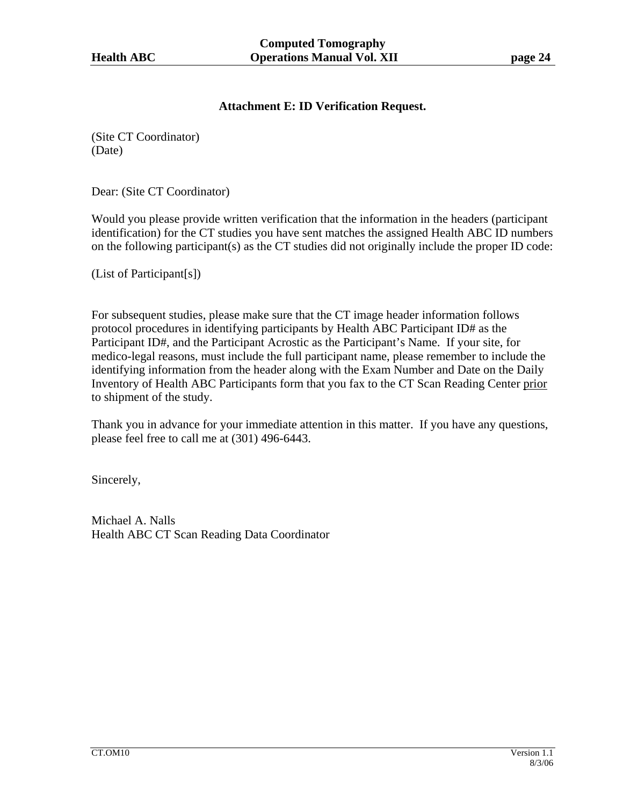# **Attachment E: ID Verification Request.**

(Site CT Coordinator) (Date)

Dear: (Site CT Coordinator)

Would you please provide written verification that the information in the headers (participant identification) for the CT studies you have sent matches the assigned Health ABC ID numbers on the following participant(s) as the CT studies did not originally include the proper ID code:

(List of Participant[s])

For subsequent studies, please make sure that the CT image header information follows protocol procedures in identifying participants by Health ABC Participant ID# as the Participant ID#, and the Participant Acrostic as the Participant's Name. If your site, for medico-legal reasons, must include the full participant name, please remember to include the identifying information from the header along with the Exam Number and Date on the Daily Inventory of Health ABC Participants form that you fax to the CT Scan Reading Center prior to shipment of the study.

Thank you in advance for your immediate attention in this matter. If you have any questions, please feel free to call me at (301) 496-6443.

Sincerely,

Michael A. Nalls Health ABC CT Scan Reading Data Coordinator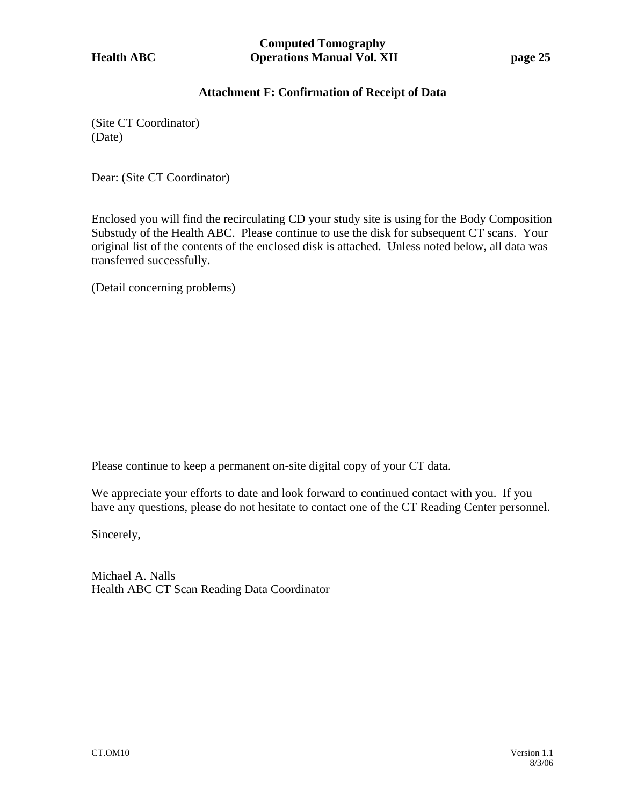# **Attachment F: Confirmation of Receipt of Data**

(Site CT Coordinator) (Date)

Dear: (Site CT Coordinator)

Enclosed you will find the recirculating CD your study site is using for the Body Composition Substudy of the Health ABC. Please continue to use the disk for subsequent CT scans. Your original list of the contents of the enclosed disk is attached. Unless noted below, all data was transferred successfully.

(Detail concerning problems)

Please continue to keep a permanent on-site digital copy of your CT data.

We appreciate your efforts to date and look forward to continued contact with you. If you have any questions, please do not hesitate to contact one of the CT Reading Center personnel.

Sincerely,

Michael A. Nalls Health ABC CT Scan Reading Data Coordinator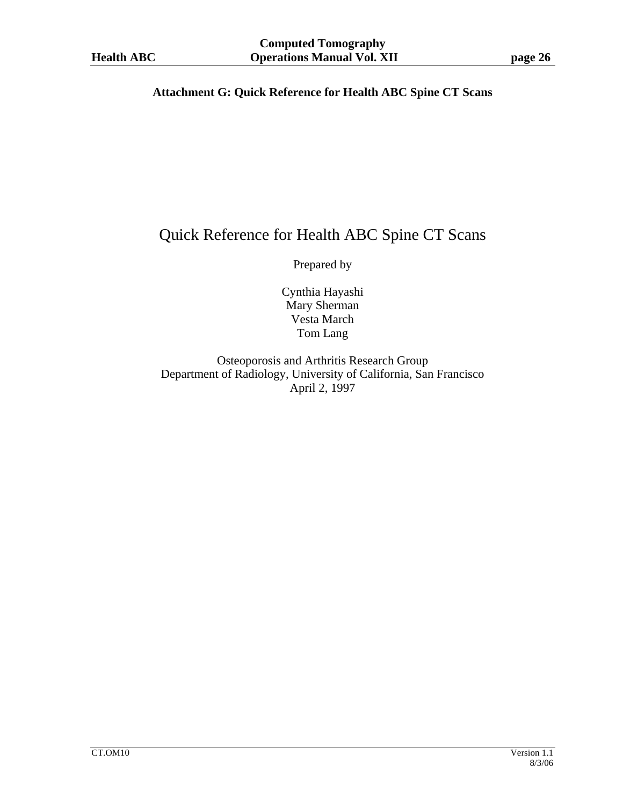# **Attachment G: Quick Reference for Health ABC Spine CT Scans**

# Quick Reference for Health ABC Spine CT Scans

Prepared by

Cynthia Hayashi Mary Sherman Vesta March Tom Lang

Osteoporosis and Arthritis Research Group Department of Radiology, University of California, San Francisco April 2, 1997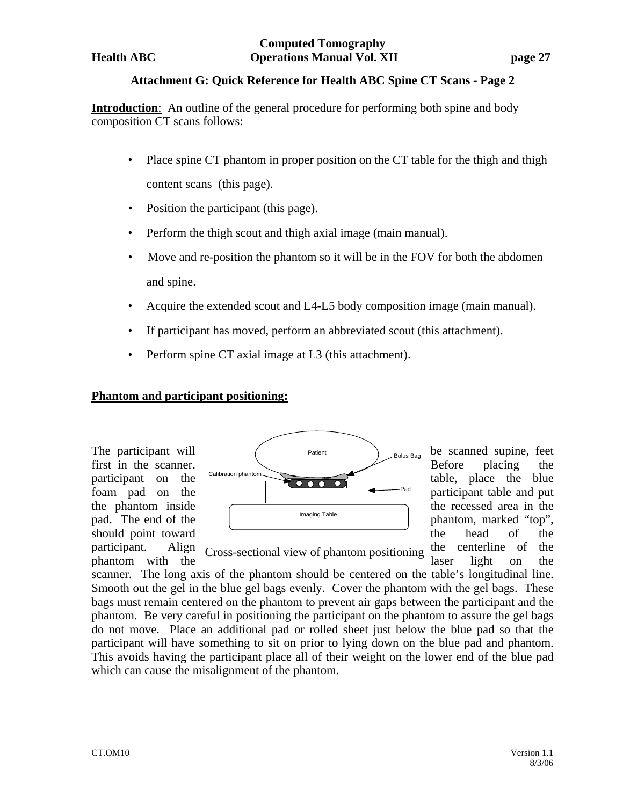## **Attachment G: Quick Reference for Health ABC Spine CT Scans - Page 2**

**Introduction**: An outline of the general procedure for performing both spine and body composition CT scans follows:

- Place spine CT phantom in proper position on the CT table for the thigh and thigh content scans (this page).
- Position the participant (this page).
- Perform the thigh scout and thigh axial image (main manual).
- Move and re-position the phantom so it will be in the FOV for both the abdomen and spine.
- Acquire the extended scout and L4-L5 body composition image (main manual).
- If participant has moved, perform an abbreviated scout (this attachment).
- Perform spine CT axial image at L3 (this attachment).

# **Phantom and participant positioning:**



phantom with the cross-sectional view of phantom positioning laser light on the

participant. Align  $C_{\text{ross-sectional view of phantom positioning}}$  the centerline of the Cross-sectional view of phantom positioning

scanner. The long axis of the phantom should be centered on the table's longitudinal line. Smooth out the gel in the blue gel bags evenly. Cover the phantom with the gel bags. These bags must remain centered on the phantom to prevent air gaps between the participant and the phantom. Be very careful in positioning the participant on the phantom to assure the gel bags do not move. Place an additional pad or rolled sheet just below the blue pad so that the participant will have something to sit on prior to lying down on the blue pad and phantom. This avoids having the participant place all of their weight on the lower end of the blue pad which can cause the misalignment of the phantom.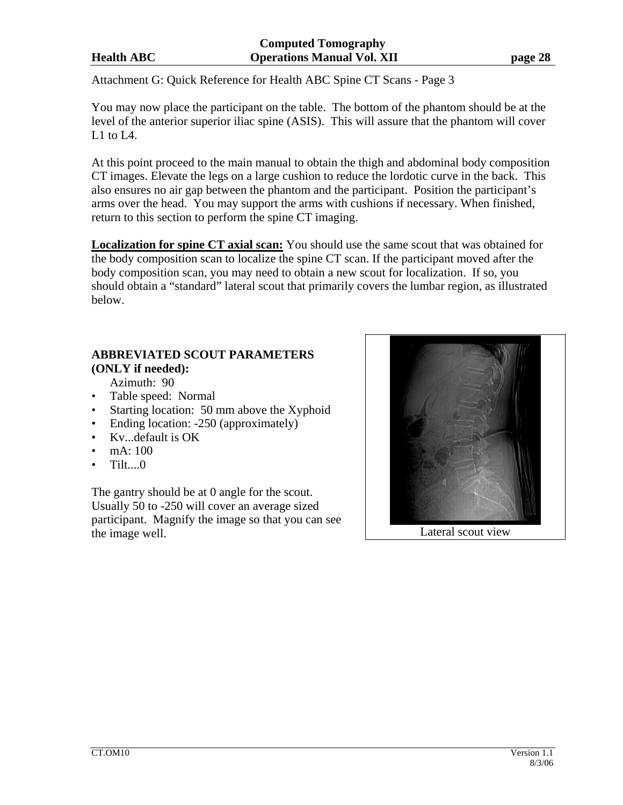Attachment G: Quick Reference for Health ABC Spine CT Scans - Page 3

You may now place the participant on the table. The bottom of the phantom should be at the level of the anterior superior iliac spine (ASIS). This will assure that the phantom will cover L1 to L4.

At this point proceed to the main manual to obtain the thigh and abdominal body composition CT images. Elevate the legs on a large cushion to reduce the lordotic curve in the back. This also ensures no air gap between the phantom and the participant. Position the participant's arms over the head. You may support the arms with cushions if necessary. When finished, return to this section to perform the spine CT imaging.

**Localization for spine CT axial scan:** You should use the same scout that was obtained for the body composition scan to localize the spine CT scan. If the participant moved after the body composition scan, you may need to obtain a new scout for localization. If so, you should obtain a "standard" lateral scout that primarily covers the lumbar region, as illustrated below.

# **ABBREVIATED SCOUT PARAMETERS (ONLY if needed):**

Azimuth: 90

- Table speed: Normal
- Starting location: 50 mm above the Xyphoid
- Ending location: -250 (approximately)
- Kv...default is OK
- $mA: 100$
- $\bullet$  Tilt.... $0$

The gantry should be at 0 angle for the scout. Usually 50 to -250 will cover an average sized participant. Magnify the image so that you can see the image well. Lateral scout view

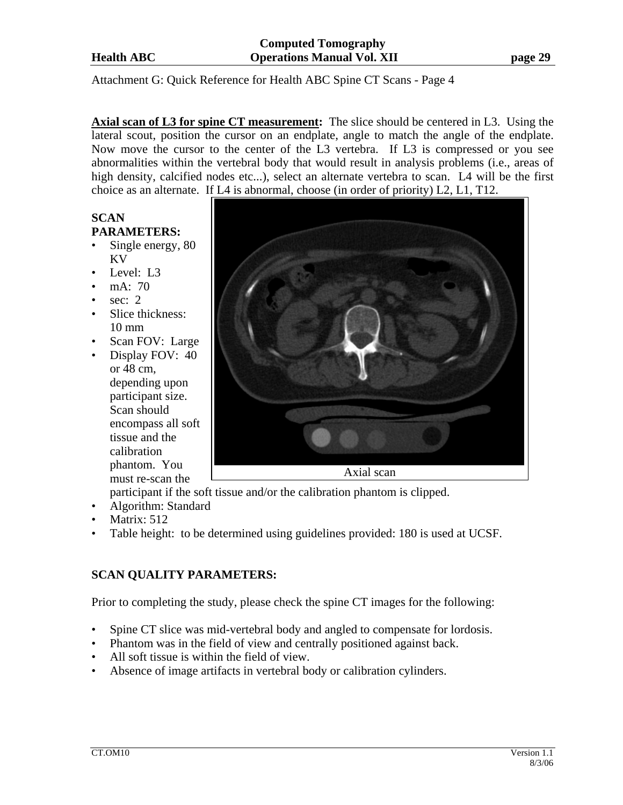Attachment G: Quick Reference for Health ABC Spine CT Scans - Page 4

**Axial scan of L3 for spine CT measurement:** The slice should be centered in L3. Using the lateral scout, position the cursor on an endplate, angle to match the angle of the endplate. Now move the cursor to the center of the L3 vertebra. If L3 is compressed or you see abnormalities within the vertebral body that would result in analysis problems (i.e., areas of high density, calcified nodes etc...), select an alternate vertebra to scan. L4 will be the first choice as an alternate. If L4 is abnormal, choose (in order of priority) L2, L1, T12.

# **SCAN PARAMETERS:**

- Single energy, 80 KV
- Level: L3
- mA: 70
- sec:  $2$
- Slice thickness: 10 mm
- Scan FOV: Large
- Display FOV: 40 or 48 cm, depending upon participant size. Scan should encompass all soft tissue and the calibration phantom. You must re-scan the



participant if the soft tissue and/or the calibration phantom is clipped.

- Algorithm: Standard
- Matrix: 512
- Table height: to be determined using guidelines provided: 180 is used at UCSF.

# **SCAN QUALITY PARAMETERS:**

Prior to completing the study, please check the spine CT images for the following:

- Spine CT slice was mid-vertebral body and angled to compensate for lordosis.
- Phantom was in the field of view and centrally positioned against back.
- All soft tissue is within the field of view.
- Absence of image artifacts in vertebral body or calibration cylinders.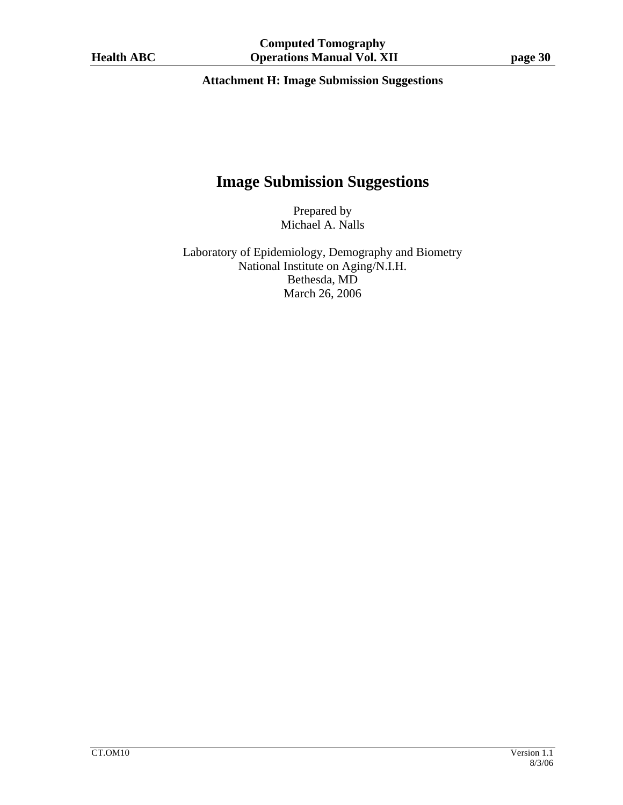# **Attachment H: Image Submission Suggestions**

# **Image Submission Suggestions**

Prepared by Michael A. Nalls

Laboratory of Epidemiology, Demography and Biometry National Institute on Aging/N.I.H. Bethesda, MD March 26, 2006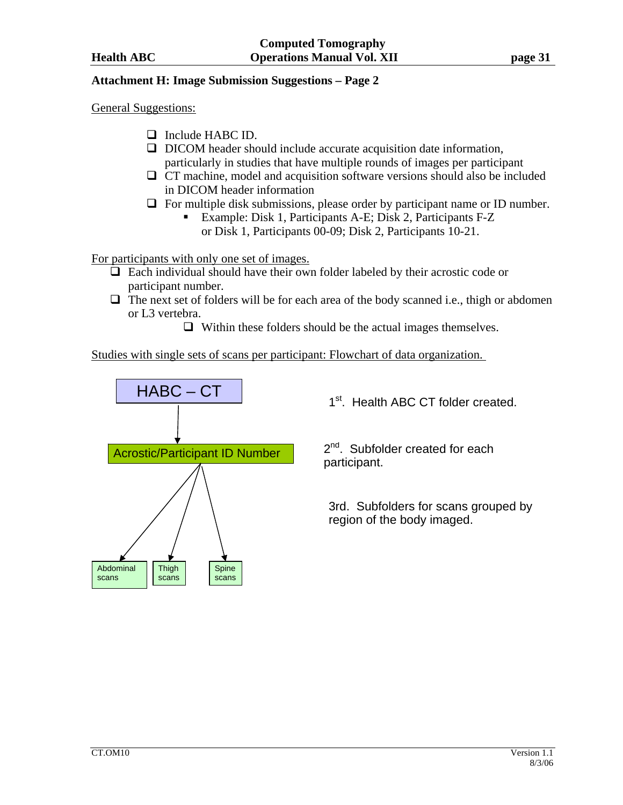## **Attachment H: Image Submission Suggestions – Page 2**

General Suggestions:

- $\Box$  Include HABC ID.
- $\Box$  DICOM header should include accurate acquisition date information, particularly in studies that have multiple rounds of images per participant
- $\Box$  CT machine, model and acquisition software versions should also be included in DICOM header information
- $\Box$  For multiple disk submissions, please order by participant name or ID number.
	- Example: Disk 1, Participants A-E; Disk 2, Participants F-Z or Disk 1, Participants 00-09; Disk 2, Participants 10-21.

For participants with only one set of images.

- $\Box$  Each individual should have their own folder labeled by their acrostic code or participant number.
- $\Box$  The next set of folders will be for each area of the body scanned i.e., thigh or abdomen or L3 vertebra.
	- $\Box$  Within these folders should be the actual images themselves.

Studies with single sets of scans per participant: Flowchart of data organization.



1<sup>st</sup>. Health ABC CT folder created.

2<sup>nd</sup>. Subfolder created for each participant.

3rd. Subfolders for scans grouped by region of the body imaged.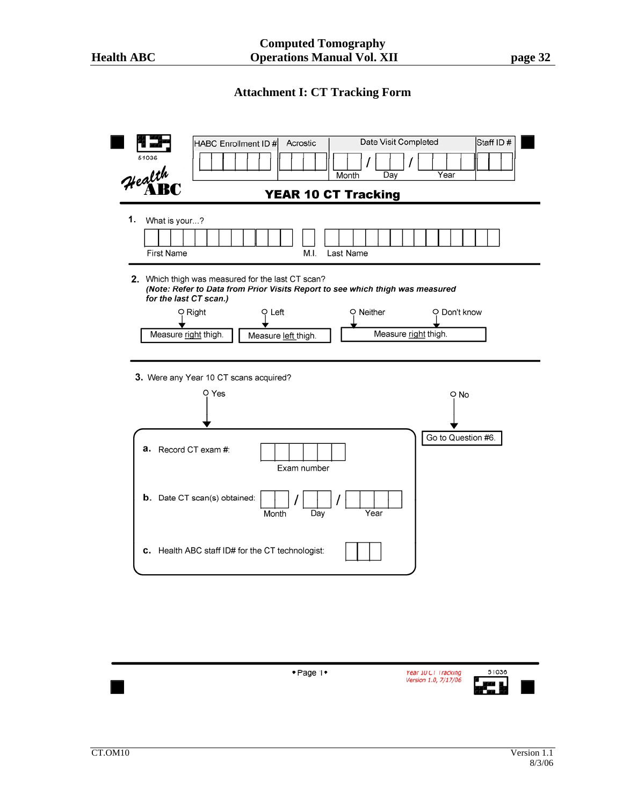# **Attachment I: CT Tracking Form**



| $\bullet$ Page 1 $\bullet$ | Year 10 CT Tracking<br>Version 1.0, 7/17/06 | 51036 |  |
|----------------------------|---------------------------------------------|-------|--|
|                            |                                             |       |  |